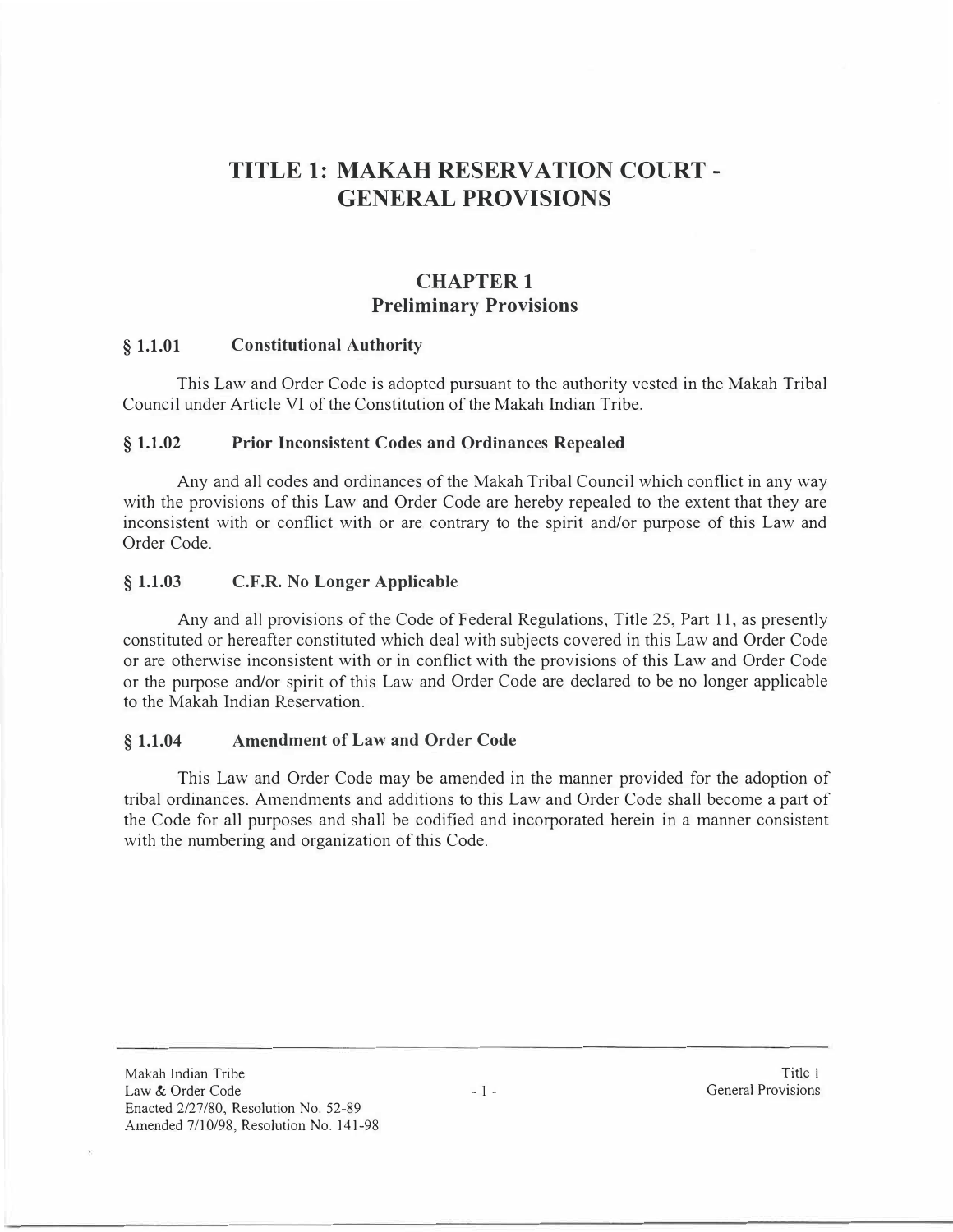# **TITLE 1: MAKAH RESERVATION COURT - GENERAL PROVISIONS**

# **CHAPTER I Preliminary Provisions**

#### **§ 1.1.01 Constitutional Authority**

This Law and Order Code is adopted pursuant to the authority vested in the Makah Tribal Council under Article VI of the Constitution of the Makah Indian Tribe.

#### **§ 1.1.02 Prior Inconsistent Codes and Ordinances Repealed**

Any and all codes and ordinances of the Makah Tribal Council which conflict in any way with the provisions of this Law and Order Code are hereby repealed to the extent that they are inconsistent with or conflict with or are contrary to the spirit and/or purpose of this Law and Order Code.

### **§ 1.1.03 C.F.R. No Longer Applicable**

Any and all provisions of the Code of Federal Regulations, Title 25, Part 11, as presently constituted or hereafter constituted which deal with subjects covered in this Law and Order Code or are otherwise inconsistent with or in conflict with the provisions of this Law and Order Code or the purpose and/or spirit of this Law and Order Code are declared to be no longer applicable to the Makah Indian Reservation.

## **§ 1.1.04 Amendment of Law and Order Code**

This Law and Order Code may be amended in the manner provided for the adoption of tribal ordinances. Amendments and additions to this Law and Order Code shall become a part of the Code for all purposes and shall be codified and incorporated herein in a manner consistent with the numbering and organization of this Code.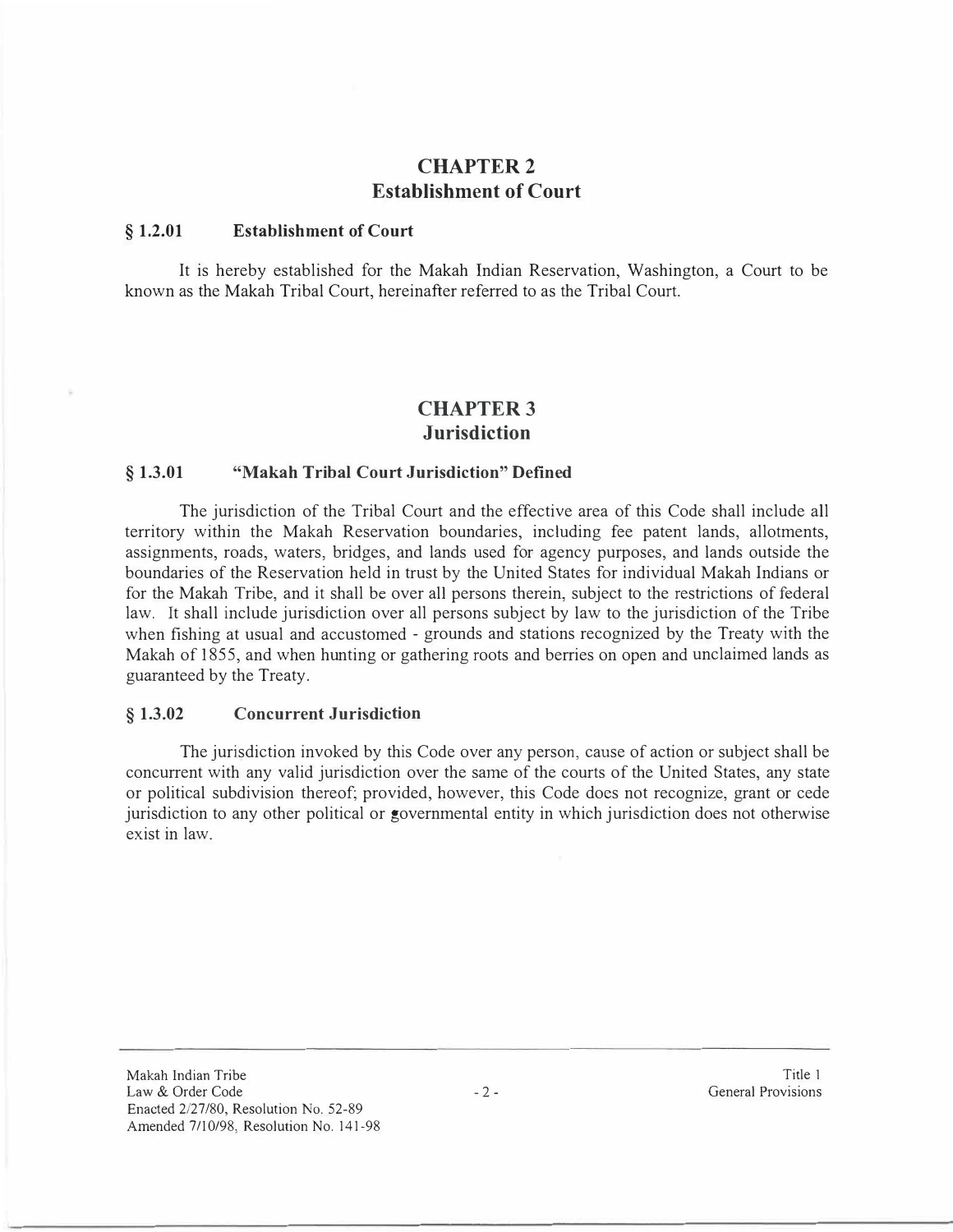# **CHAPTER2 Establishment of Court**

#### **§ 1.2.01 Establishment of Court**

It is hereby established for the Makah Indian Reservation, Washington, a Court to be known as the Makah Tribal Court, hereinafter referred to as the Tribal Court.

## **CHAPTER3 Jurisdiction**

#### **§ 1.3.01 "Makah Tribal Court Jurisdiction" Defined**

The jurisdiction of the Tribal Court and the effective area of this Code shall include all territory within the Makah Reservation boundaries, including fee patent lands, allotments, assignments, roads, waters, bridges, and lands used for agency purposes, and lands outside the boundaries of the Reservation held in trust by the United States for individual Makah Indians or for the Makah Tribe, and it shall be over all persons therein, subject to the restrictions of federal law. It shall include jurisdiction over all persons subject by law to the jurisdiction of the Tribe when fishing at usual and accustomed - grounds and stations recognized by the Treaty with the Makah of 1855, and when hunting or gathering roots and berries on open and unclaimed lands as guaranteed by the Treaty.

#### **§ 1.3.02 Concurrent Jurisdiction**

The jurisdiction invoked by this Code over any person, cause of action or subject shall be concurrent with any valid jurisdiction over the same of the courts of the United States, any state or political subdivision thereof; provided, however, this Code does not recognize, grant or cede jurisdiction to any other political or governmental entity in which jurisdiction does not otherwise exist in law.

Makah Indian Tribe Law & Order Code Enacted 2/27/80, Resolution No. 52-89 Amended 7/10/98, Resolution No. 141-98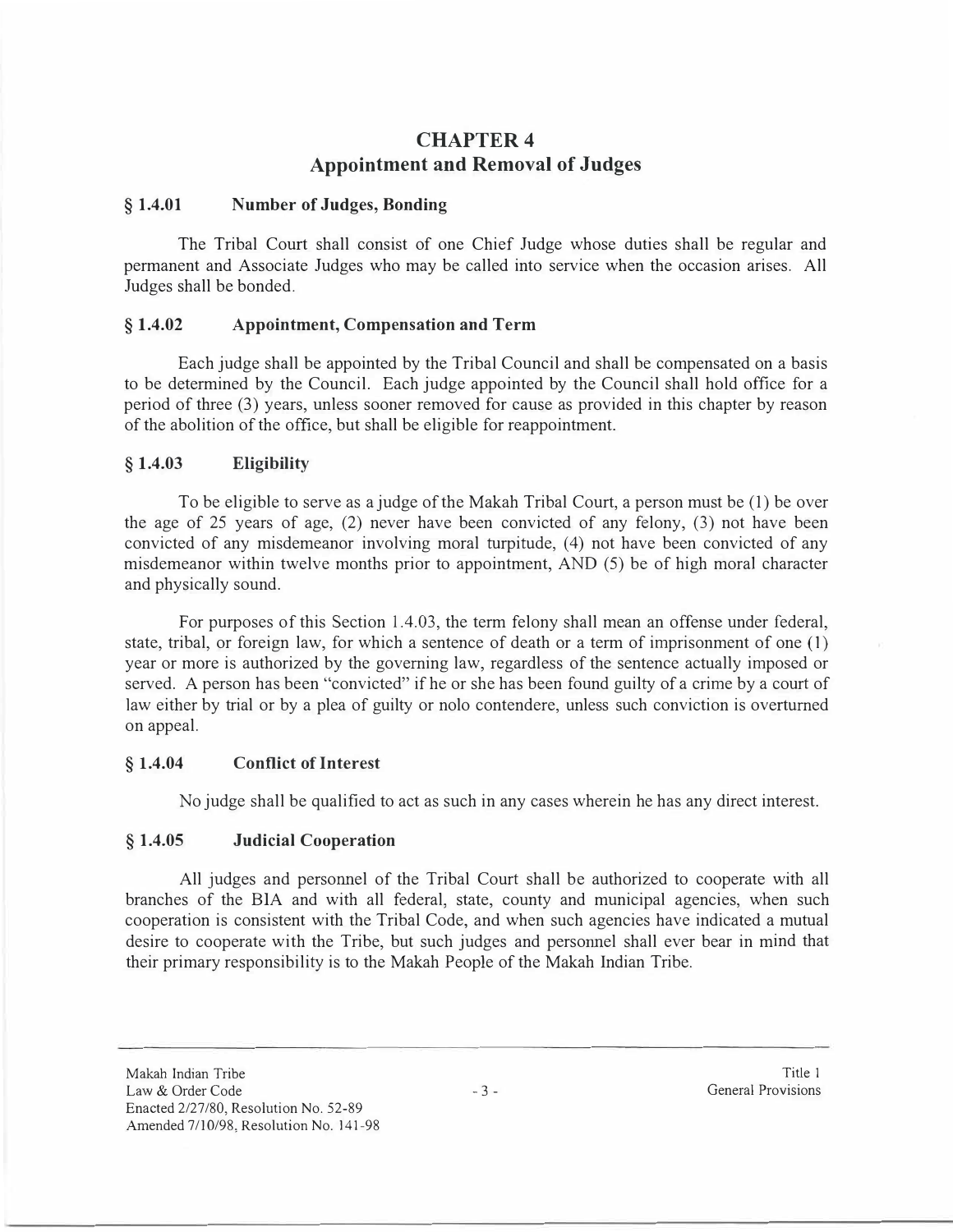# **CHAPTER4 Appointment and Removal of Judges**

#### § **1.4.01 Number of Judges, Bonding**

The Tribal Court shall consist of one Chief Judge whose duties shall be regular and permanent and Associate Judges who may be called into service when the occasion arises. All Judges shall be bonded.

## § **1.4.02 Appointment, Compensation and Term**

Each judge shall be appointed by the Tribal Council and shall be compensated on a basis to be determined by the Council. Each judge appointed by the Council shall hold office for a period of three (3) years, unless sooner removed for cause as provided in this chapter by reason of the abolition of the office, but shall be eligible for reappointment.

## § **1.4.03 Eligibility**

To be eligible to serve as a judge of the Makah Tribal Court, a person must be (I) be over the age of 25 years of age, (2) never have been convicted of any felony, (3) not have been convicted of any misdemeanor involving moral turpitude, ( 4) not have been convicted of any misdemeanor within twelve months prior to appointment, AND (5) be of high moral character and physically sound.

For purposes of this Section 1.4.03, the term felony shall mean an offense under federal, state, tribal, or foreign law, for which a sentence of death or a term of imprisonment of one (1) year or more is authorized by the governing law, regardless of the sentence actually imposed or served. A person has been "convicted" if he or she has been found guilty of a crime by a court of law either by trial or by a plea of guilty or nolo contendere, unless such conviction is overturned on appeal.

### § **1.4.04 Conflict of Interest**

No judge shall be qualified to act as such in any cases wherein he has any direct interest.

### § **1.4.05 Judicial Cooperation**

All judges and personnel of the Tribal Court shall be authorized to cooperate with all branches of the BIA and with all federal, state, county and municipal agencies, when such cooperation is consistent with the Tribal Code, and when such agencies have indicated a mutual desire to cooperate with the Tribe, but such judges and personnel shall ever bear in mind that their primary responsibility is to the Makah People of the Makah Indian Tribe.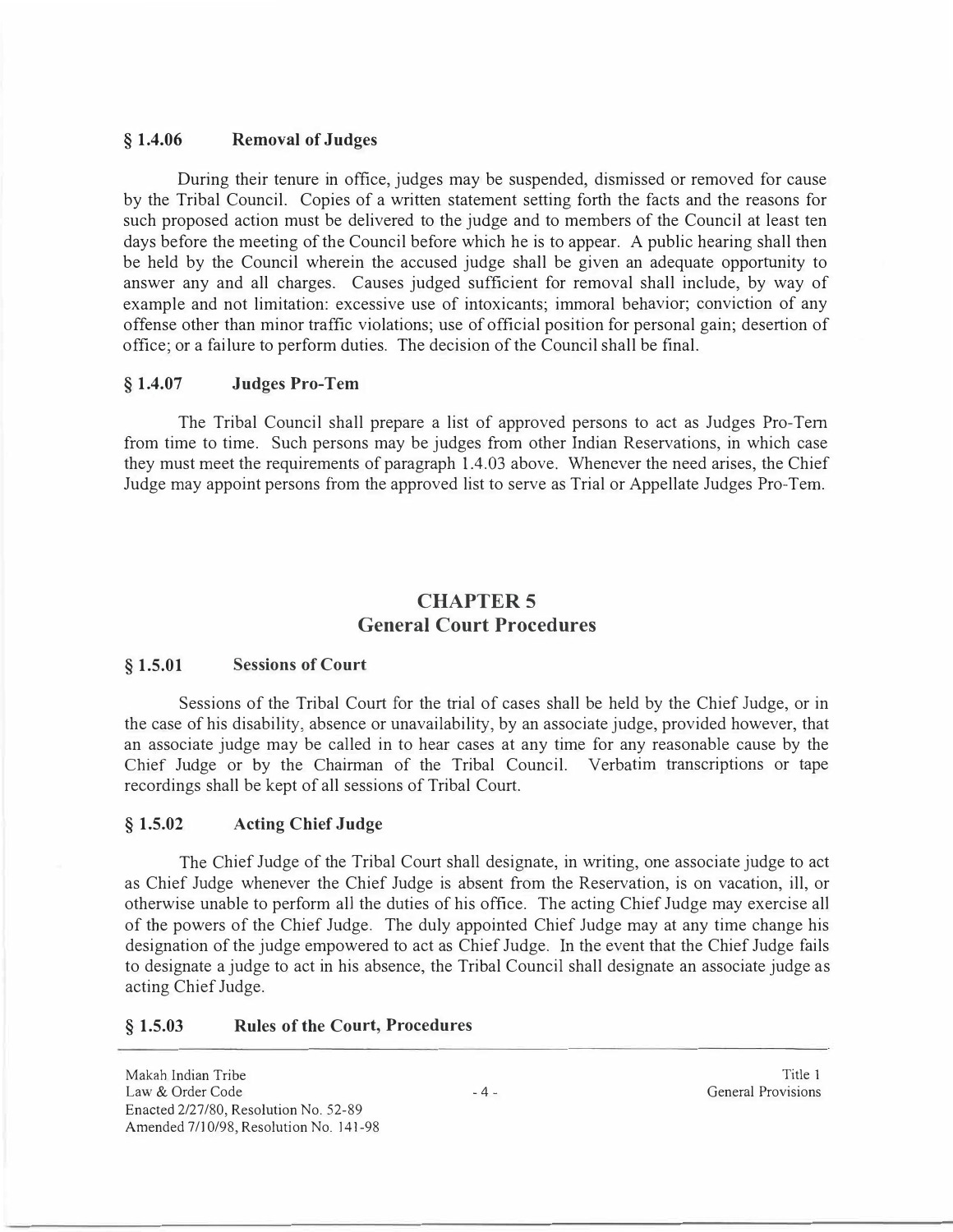### **§ 1.4.06 Removal of Judges**

During their tenure in office, judges may be suspended, dismissed or removed for cause by the Tribal Council. Copies of a written statement setting forth the facts and the reasons for such proposed action must be delivered to the judge and to members of the Council at least ten days before the meeting of the Council before which he is to appear. A public hearing shall then be held by the Council wherein the accused judge shall be given an adequate opportunity to answer any and all charges. Causes judged sufficient for removal shall include, by way of example and not limitation: excessive use of intoxicants; immoral behavior; conviction of any offense other than minor traffic violations; use of official position for personal gain; desertion of office; or a failure to perform duties. The decision of the Council shall be final.

## **§ 1.4.07 Judges Pro-Tern**

The Tribal Council shall prepare a list of approved persons to act as Judges Pro-Tern from time to time. Such persons may be judges from other Indian Reservations, in which case they must meet the requirements of paragraph 1.4.03 above. Whenever the need arises, the Chief Judge may appoint persons from the approved list to serve as Trial or Appellate Judges Pro-Tern.

# **CHAPTERS General Court Procedures**

#### **§ 1.5.01 Sessions of Court**

Sessions of the Tribal Court for the trial of cases shall be held by the Chief Judge, or in the case of his disability, absence or unavailability, by an associate judge, provided however, that an associate judge may be called in to hear cases at any time for any reasonable cause by the Chief Judge or by the Chairman of the Tribal Council. Verbatim transcriptions or tape recordings shall be kept of all sessions of Tribal Court.

### **§ 1.5.02 Acting Chief Judge**

The Chief Judge of the Tribal Court shall designate, in writing, one associate judge to act as Chief Judge whenever the Chief Judge is absent from the Reservation, is on vacation, ill, or otherwise unable to perform all the duties of his office. The acting Chief Judge may exercise all of the powers of the Chief Judge. The duly appointed Chief Judge may at any time change his designation of the judge empowered to act as Chief Judge. In the event that the Chief Judge fails to designate a judge to act in his absence, the Tribal Council shall designate an associate judge as acting Chief Judge.

### **§ 1.5.03 Rules of the Court, Procedures**

Makah Indian Tribe Law & Order Code Enacted 2/27/80, Resolution No. 52-89 Amended 7/10/98, Resolution No. 141-98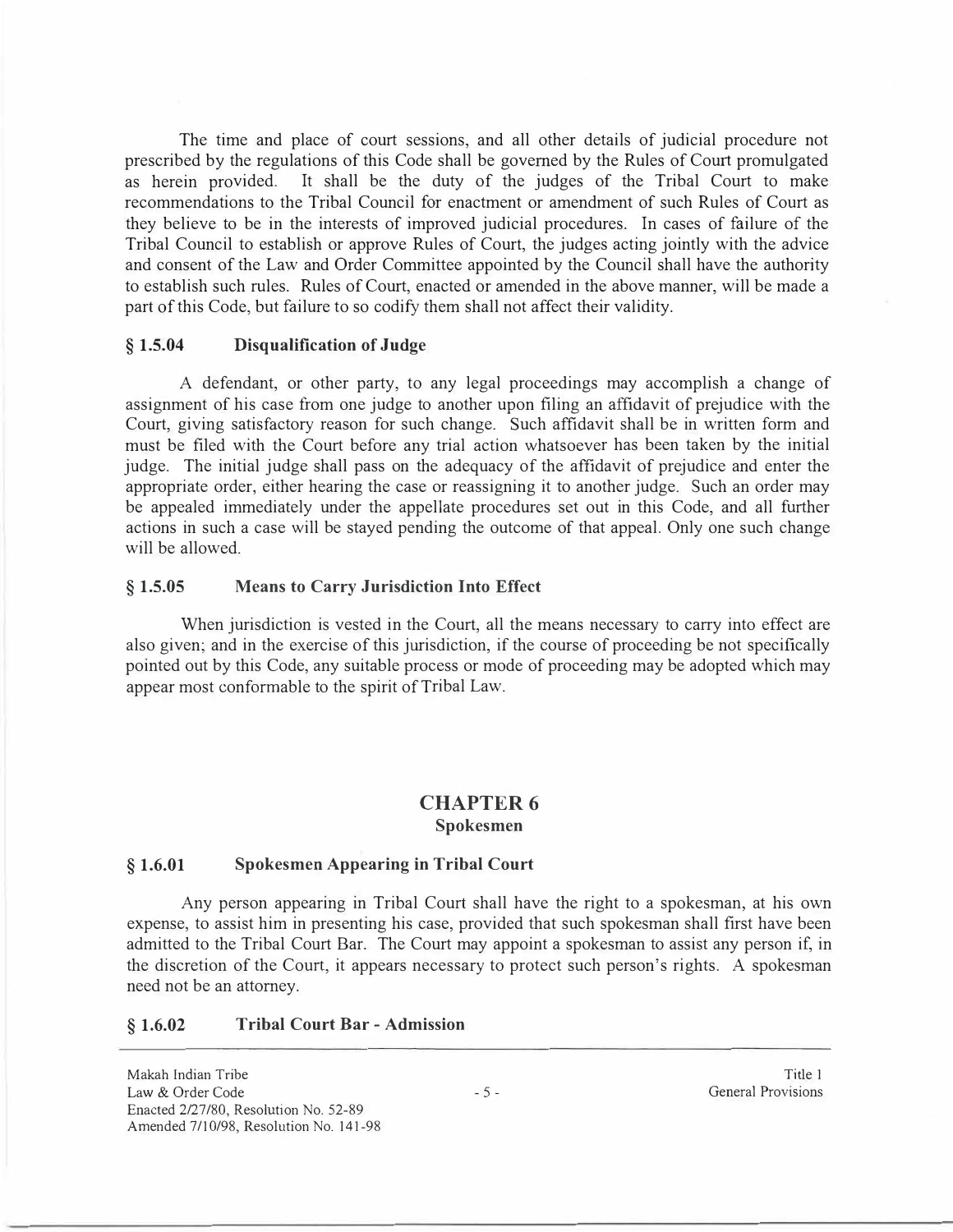The time and place of court sessions, and all other details of judicial procedure not prescribed by the regulations of this Code shall be governed by the Rules of Court promulgated as herein provided. It shall be the duty of the judges of the Tribal Court to make recommendations to the Tribal Council for enactment or amendment of such Rules of Court as they believe to be in the interests of improved judicial procedures. In cases of failure of the Tribal Council to establish or approve Rules of Court, the judges acting jointly with the advice and consent of the Law and Order Committee appointed by the Council shall have the authority to establish such rules. Rules of Court, enacted or amended in the above manner, will be made a part of this Code, but failure to so codify them shall not affect their validity.

#### **§ 1.5.04 Disqualification of Judge**

A defendant, or other party, to any legal proceedings may accomplish a change of assignment of his case from one judge to another upon filing an affidavit of prejudice with the Court, giving satisfactory reason for such change. Such affidavit shall be in written form and must be filed with the Court before any trial action whatsoever has been taken by the initial judge. The initial judge shall pass on the adequacy of the affidavit of prejudice and enter the appropriate order, either hearing the case or reassigning it to another judge. Such an order may be appealed immediately under the appellate procedures set out in this Code, and all further actions in such a case will be stayed pending the outcome of that appeal. Only one such change will be allowed.

#### **§ 1.5.05 Means to Carry Jurisdiction Into Effect**

When jurisdiction is vested in the Court, all the means necessary to carry into effect are also given; and in the exercise of this jurisdiction, if the course of proceeding be not specifically pointed out by this Code, any suitable process or mode of proceeding may be adopted which may appear most conformable to the spirit of Tribal Law.

## **CHAPTER 6 Spokesmen**

#### **§ 1.6.01 Spokesmen Appearing in Tribal Court**

Any person appearing in Tribal Court shall have the right to a spokesman, at his own expense, to assist him in presenting his case, provided that such spokesman shall first have been admitted to the Tribal Court Bar. The Court may appoint a spokesman to assist any person if, in the discretion of the Court, it appears necessary to protect such person's rights. A spokesman need not be an attorney.

### **§ 1.6.02 Tribal Court Bar - Admission**

Makah Indian Tribe Law & Order Code Enacted 2/27/80, Resolution No. 52-89 Amended 7/10/98, Resolution No. 141-98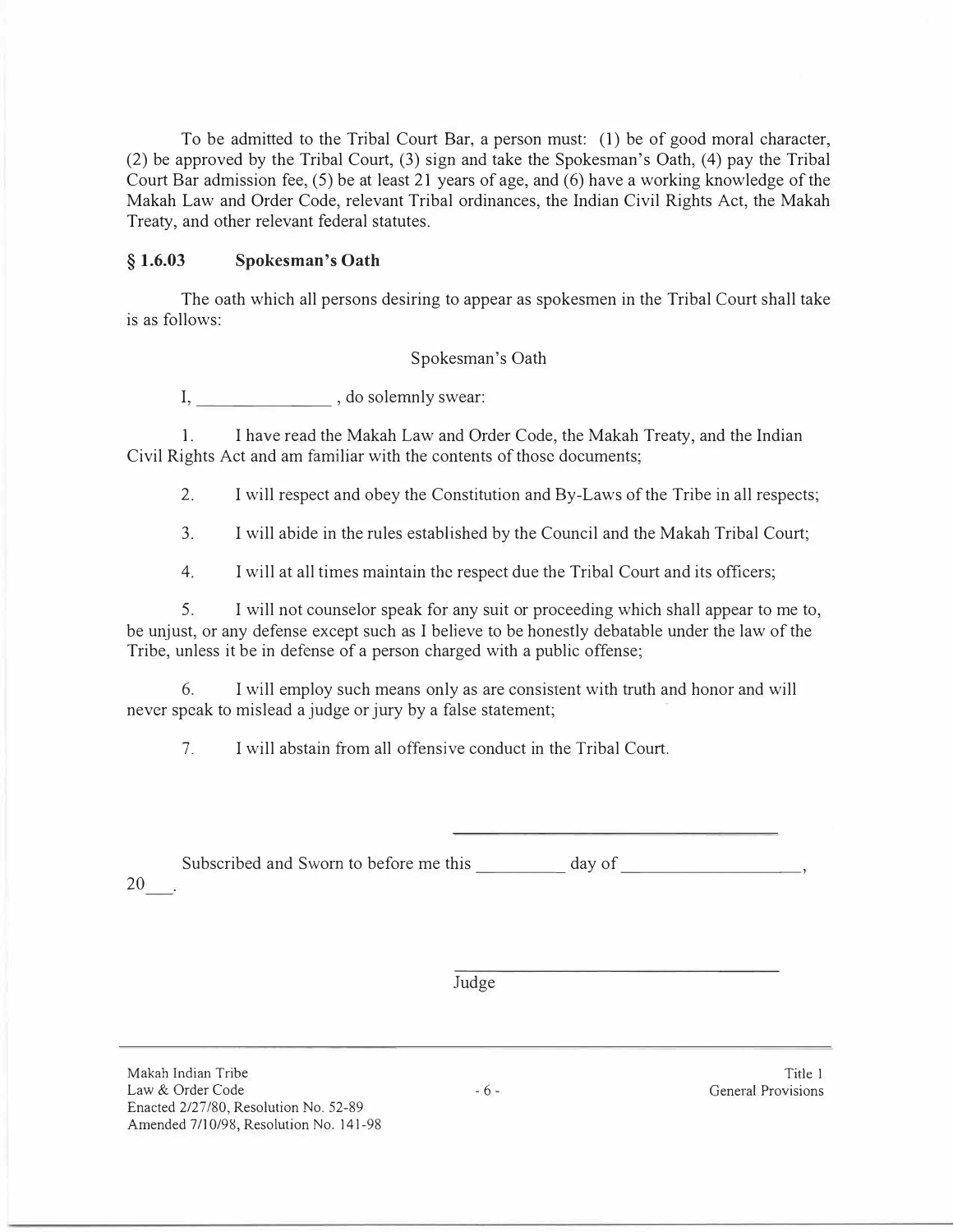To be admitted to the Tribal Court Bar, a person must: (1) be of good moral character, (2) be approved by the Tribal Court, (3) sign and take the Spokesman's Oath, (4) pay the Tribal Court Bar admission fee, (5) be at least 21 years of age, and (6) have a working knowledge of the Makah Law and Order Code, relevant Tribal ordinances, the Indian Civil Rights Act, the Makah Treaty, and other relevant federal statutes.

## **§ 1.6.03 Spokesman's Oath**

The oath which all persons desiring to appear as spokesmen in the Tribal Court shall take is as follows:

### Spokesman's Oath

I, \_\_\_\_\_\_\_\_\_\_\_\_\_\_\_\_\_, do solemnly swear:

1. I have read the Makah Law and Order Code, the Makah Treaty, and the Indian Civil Rights Act and am familiar with the contents of those documents;

2. I will respect and obey the Constitution and By-Laws of the Tribe in all respects;

3. I will abide in the rules established by the Council and the Makah Tribal Court;

4. I will at all times maintain the respect due the Tribal Court and its officers;

5. I will not counselor speak for any suit or proceeding which shall appear to me to, be unjust, or any defense except such as I believe to be honestly debatable under the law of the Tribe, unless it be in defense of a person charged with a public offense;

6. I will employ such means only as are consistent with truth and honor and will never speak to mislead a judge or jury by a false statement;

7. I will abstain from all offensive conduct in the Tribal Court.

Subscribed and Sworn to before me this day of  $\qquad \qquad$ , 20

Judge

Makah Indian Tribe Law & Order Code Enacted 2/27/80, Resolution No. 52-89 Amended 7/10/98, Resolution No. 141-98

Title I General Provisions

- 6 -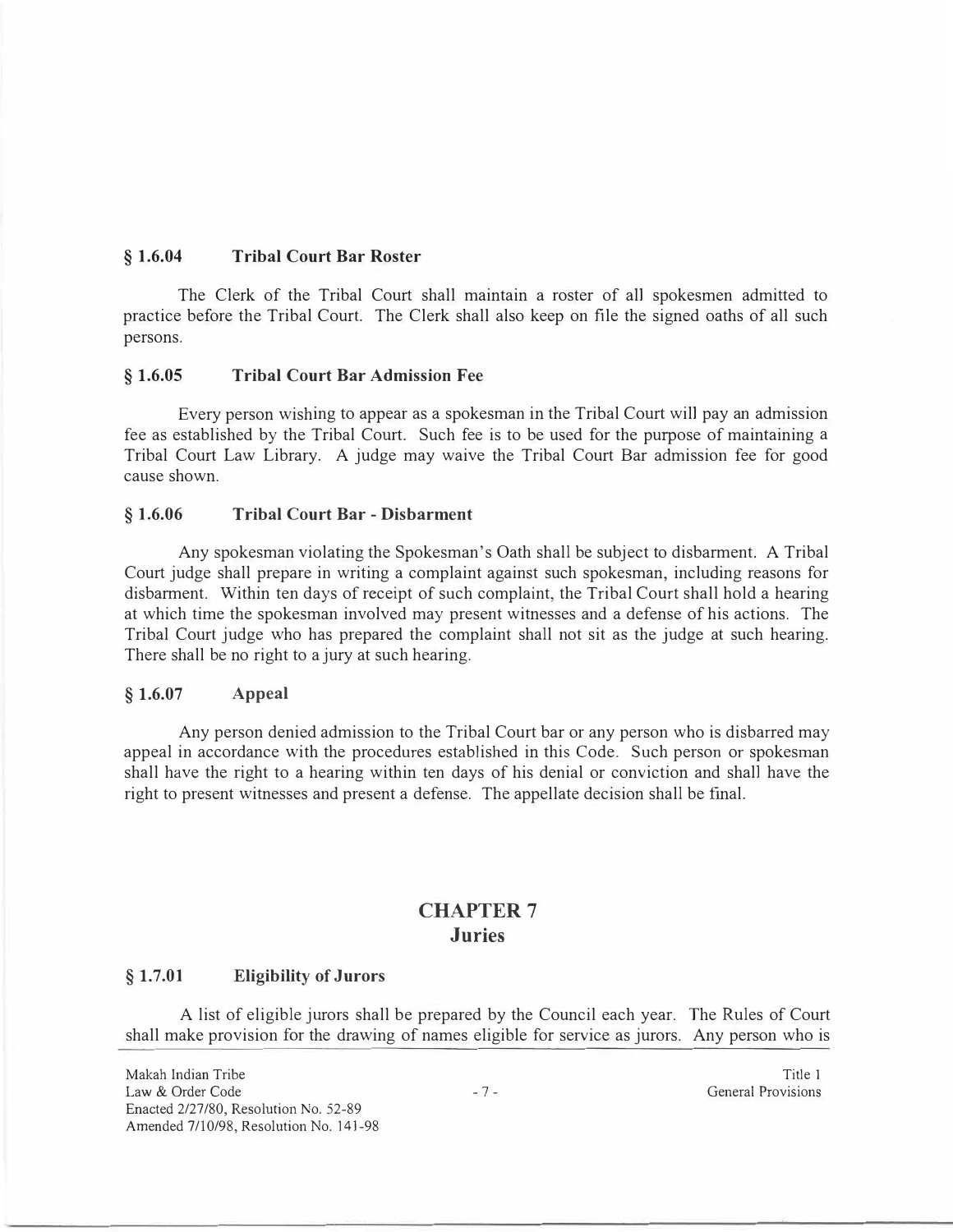## **§ 1.6.04 Tribal Court Bar Roster**

The Clerk of the Tribal Court shall maintain a roster of all spokesmen admitted to practice before the Tribal Court. The Clerk shall also keep on file the signed oaths of all such persons.

### **§ 1.6.05 Tribal Court Bar Admission Fee**

Every person wishing to appear as a spokesman in the Tribal Court will pay an admission fee as established by the Tribal Court. Such fee is to be used for the purpose of maintaining a Tribal Court Law Library. A judge may waive the Tribal Court Bar admission fee for good cause shown.

### **§ 1.6.06 Tribal Court Bar - Disbarment**

Any spokesman violating the Spokesman's Oath shall be subject to disbarment. A Tribal Court judge shall prepare in writing a complaint against such spokesman, including reasons for disbarment. Within ten days of receipt of such complaint, the Tribal Court shall hold a hearing at which time the spokesman involved may present witnesses and a defense of his actions. The Tribal Court judge who has prepared the complaint shall not sit as the judge at such hearing. There shall be no right to a jury at such hearing.

### **§ 1.6.07 Appeal**

Any person denied admission to the Tribal Court bar or any person who is disbarred may appeal in accordance with the procedures established in this Code. Such person or spokesman shall have the right to a hearing within ten days of his denial or conviction and shall have the right to present witnesses and present a defense. The appellate decision shall be final.

# **CHAPTER 7 Juries**

### **§ 1.7.01 Eligibility of Jurors**

A list of eligible jurors shall be prepared by the Council each year. The Rules of Court shall make provision for the drawing of names eligible for service as jurors. Any person who is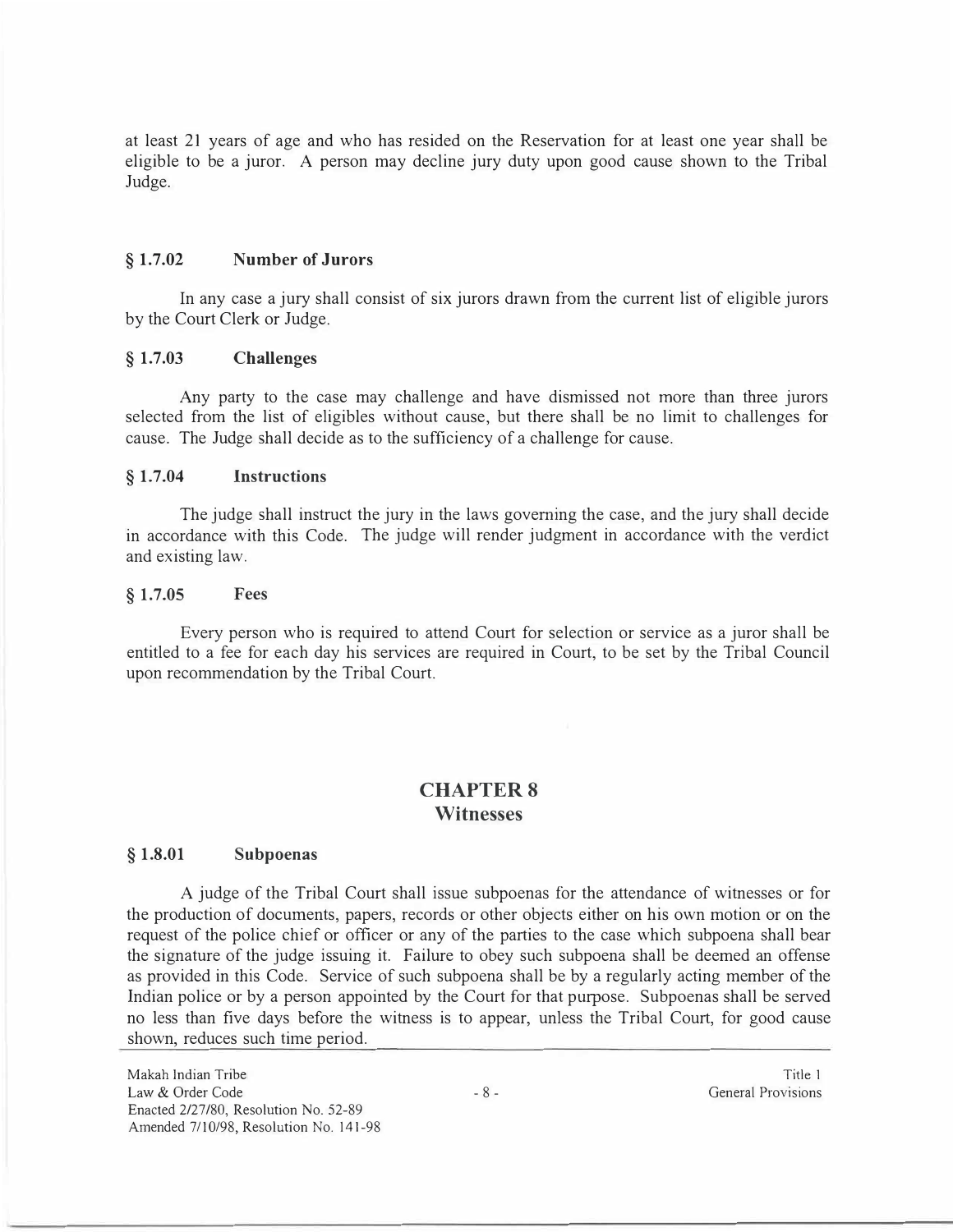at least 21 years of age and who has resided on the Reservation for at least one year shall be eligible to be a juror. A person may decline jury duty upon good cause shown to the Tribal Judge.

#### **§ 1.7.02 Number of Jurors**

In any case a jury shall consist of six jurors drawn from the current list of eligible jurors by the Court Clerk or Judge.

## **§ 1.7.03 Challenges**

Any party to the case may challenge and have dismissed not more than three jurors selected from the list of eligibles without cause, but there shall be no limit to challenges for cause. The Judge shall decide as to the sufficiency of a challenge for cause.

#### **§ 1.7.04 Instructions**

The judge shall instruct the jury in the laws governing the case, and the jury shall decide in accordance with this Code. The judge will render judgment in accordance with the verdict and existing law.

#### **§ 1.7.05 Fees**

Every person who is required to attend Court for selection or service as a juror shall be entitled to a fee for each day his services are required in Court, to be set by the Tribal Council upon recommendation by the Tribal Court.

## **CHAPTERS Witnesses**

#### **§ 1.8.01 Subpoenas**

A judge of the Tribal Court shall issue subpoenas for the attendance of witnesses or for the production of documents, papers, records or other objects either on his own motion or on the request of the police chief or officer or any of the parties to the case which subpoena shall bear the signature of the judge issuing it. Failure to obey such subpoena shall be deemed an offense as provided in this Code. Service of such subpoena shall be by a regularly acting member of the Indian police or by a person appointed by the Court for that purpose. Subpoenas shall be served no less than five days before the witness is to appear, unless the Tribal Court, for good cause shown, reduces such time period.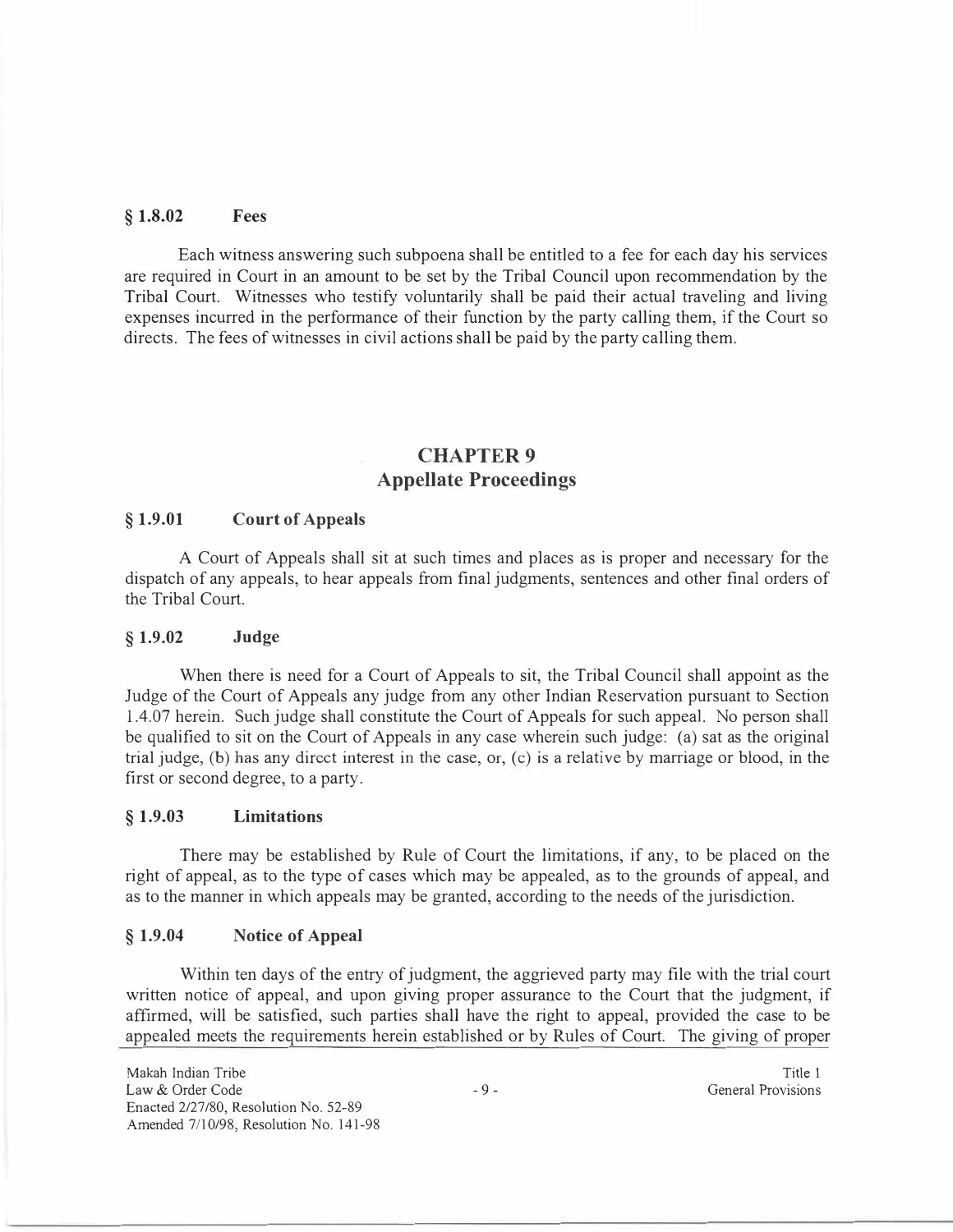### **§ 1.8.02 Fees**

Each witness answering such subpoena shall be entitled to a fee for each day his services are required in Court in an amount to be set by the Tribal Council upon recommendation by the Tribal Court. Witnesses who testify voluntarily shall be paid their actual traveling and living expenses incurred in the performance of their function by the party calling them, if the Court so directs. The fees of witnesses in civil actions shall be paid by the party calling them.

# **CHAPTER9 Appellate Proceedings**

#### **§ 1.9.01 Court of Appeals**

A Court of Appeals shall sit at such times and places as is proper and necessary for the dispatch of any appeals, to hear appeals from final judgments, sentences and other final orders of the Tribal Court.

#### **§ 1.9.02 Judge**

When there is need for a Court of Appeals to sit, the Tribal Council shall appoint as the Judge of the Court of Appeals any judge from any other Indian Reservation pursuant to Section 1.4.07 herein. Such judge shall constitute the Court of Appeals for such appeal. No person shall be qualified to sit on the Court of Appeals in any case wherein such judge: (a) sat as the original trial judge, (b) has any direct interest in the case, or, (c) is a relative by marriage or blood, in the first or second degree, to a party.

#### **§ 1.9.03 Limitations**

There may be established by Rule of Court the limitations, if any, to be placed on the right of appeal, as to the type of cases which may be appealed, as to the grounds of appeal, and as to the manner in which appeals may be granted, according to the needs of the jurisdiction.

### **§ 1.9.04 Notice of Appeal**

Within ten days of the entry of judgment, the aggrieved party may file with the trial court written notice of appeal, and upon giving proper assurance to the Court that the judgment, if affirmed, will be satisfied, such parties shall have the right to appeal, provided the case to be appealed meets the requirements herein established or by Rules of Court. The giving of proper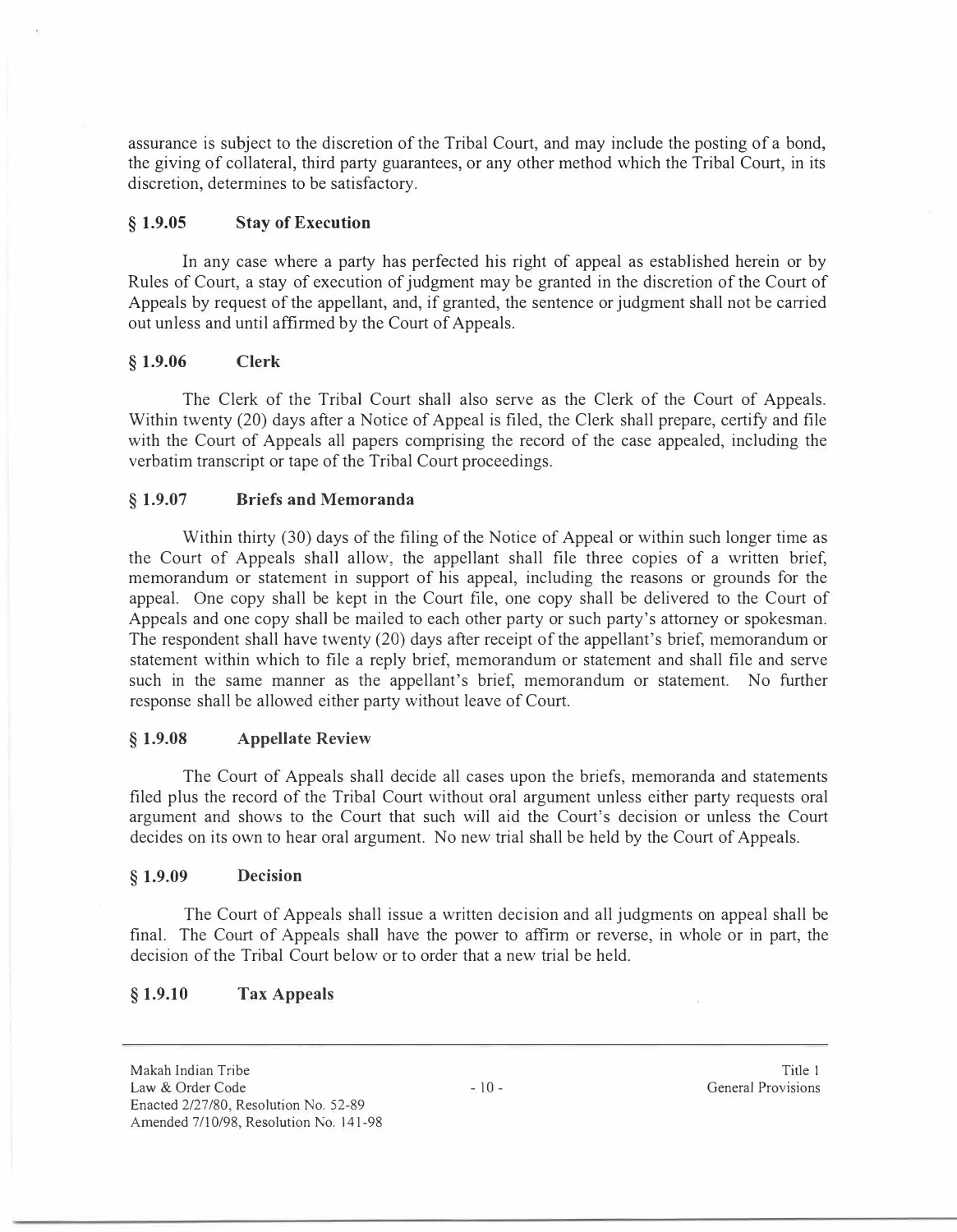assurance is subject to the discretion of the Tribal Court, and may include the posting of a bond, the giving of collateral, third party guarantees, or any other method which the Tribal Court, in its discretion, determines to be satisfactory.

## **§ 1.9.05 Stay of Execution**

In any case where a party has perfected his right of appeal as established herein or by Rules of Court, a stay of execution of judgment may be granted in the discretion of the Court of Appeals by request of the appellant, and, if granted, the sentence or judgment shall not be carried out unless and until affirmed by the Court of Appeals.

## **§ 1.9.06 Clerk**

The Clerk of the Tribal Court shall also serve as the Clerk of the Court of Appeals. Within twenty (20) days after a Notice of Appeal is filed, the Clerk shall prepare, certify and file with the Court of Appeals all papers comprising the record of the case appealed, including the verbatim transcript or tape of the Tribal Court proceedings.

## **§ 1.9.07 Briefs and Memoranda**

Within thirty (30) days of the filing of the Notice of Appeal or within such longer time as the Court of Appeals shall allow, the appellant shall file three copies of a written brief, memorandum or statement in support of his appeal, including the reasons or grounds for the appeal. One copy shall be kept in the Court file, one copy shall be delivered to the Court of Appeals and one copy shall be mailed to each other party or such party's attorney or spokesman. The respondent shall have twenty (20) days after receipt of the appellant's brief, memorandum or statement within which to file a reply brief, memorandum or statement and shall file and serve such in the same manner as the appellant's brief, memorandum or statement. No further response shall be allowed either party without leave of Court.

### **§ 1.9.08 Appellate Review**

The Court of Appeals shall decide all cases upon the briefs, memoranda and statements filed plus the record of the Tribal Court without oral argument unless either party requests oral argument and shows to the Court that such will aid the Court's decision or unless the Court decides on its own to hear oral argument. No new trial shall be held by the Court of Appeals.

### **§ 1.9.09 Decision**

The Court of Appeals shall issue a written decision and all judgments on appeal shall be final. The Court of Appeals shall have the power to affirm or reverse, in whole or in part, the decision of the Tribal Court below or to order that a new trial be held.

## **§ 1.9.10 Tax Appeals**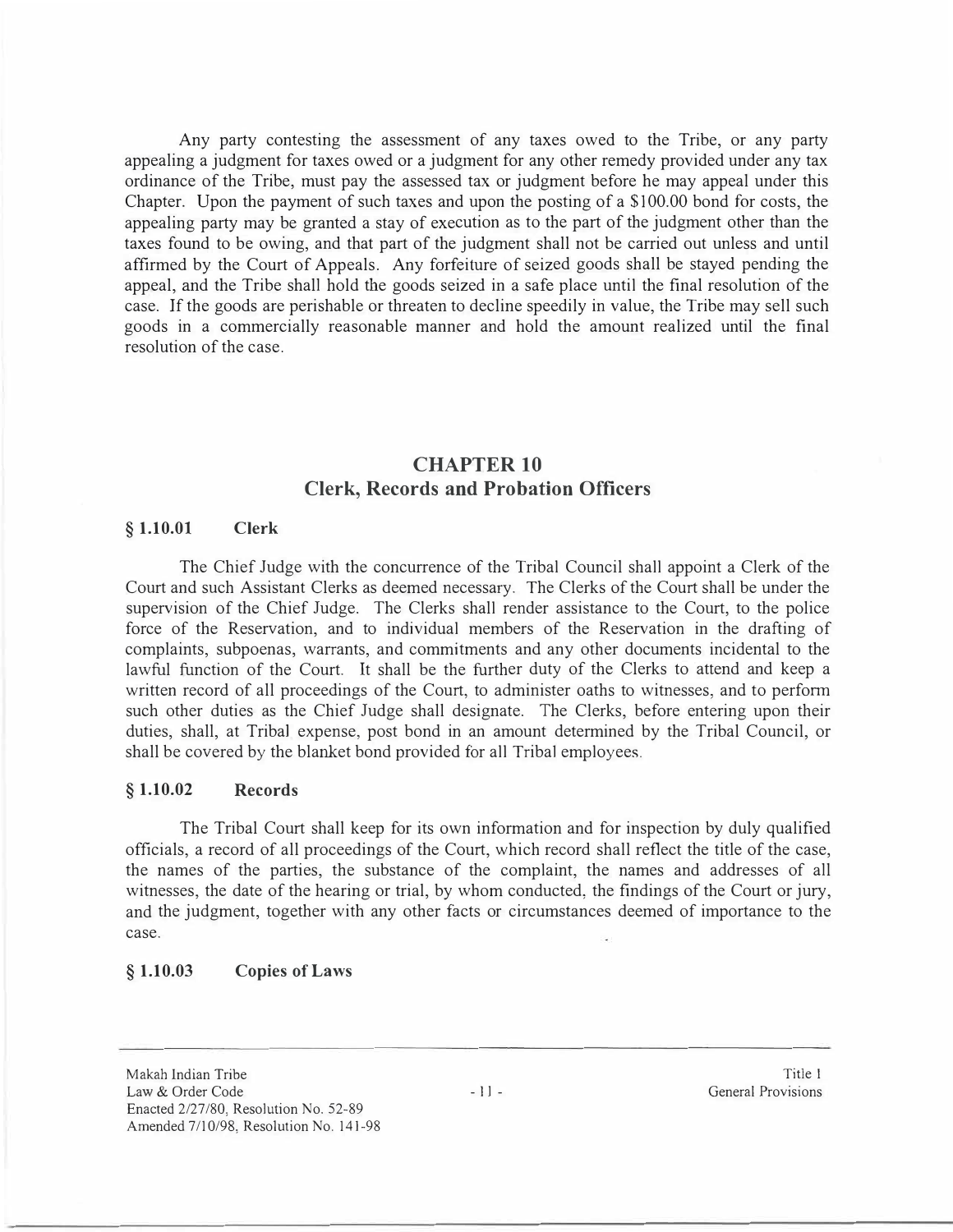Any party contesting the assessment of any taxes owed to the Tribe, or any party appealing a judgment for taxes owed or a judgment for any other remedy provided under any tax ordinance of the Tribe, must pay the assessed tax or judgment before he may appeal under this Chapter. Upon the payment of such taxes and upon the posting of a \$100.00 bond for costs, the appealing party may be granted a stay of execution as to the part of the judgment other than the taxes found to be owing, and that part of the judgment shall not be carried out unless and until affirmed by the Court of Appeals. Any forfeiture of seized goods shall be stayed pending the appeal, and the Tribe shall hold the goods seized in a safe place until the final resolution of the case. If the goods are perishable or threaten to decline speedily in value, the Tribe may sell such goods in a commercially reasonable manner and hold the amount realized until the final resolution of the case.

## **CHAPTER 10 Clerk, Records and Probation Officers**

#### **§ 1.10.01 Clerk**

The Chief Judge with the concurrence of the Tribal Council shall appoint a Clerk of the Court and such Assistant Clerks as deemed necessary. The Clerks of the Court shall be under the supervision of the Chief Judge. The Clerks shall render assistance to the Court, to the police force of the Reservation, and to individual members of the Reservation in the drafting of complaints, subpoenas, warrants, and commitments and any other documents incidental to the lawful function of the Court. It shall be the further duty of the Clerks to attend and keep a written record of all proceedings of the Court, to administer oaths to witnesses, and to perform such other duties as the Chief Judge shall designate. The Clerks, before entering upon their duties, shall, at Tribal expense, post bond in an amount determined by the Tribal Council, or shall be covered by the blanket bond provided for all Tribal employees.

## **§ 1.10.02 Records**

The Tribal Court shall keep for its own information and for inspection by duly qualified officials, a record of all proceedings of the Court, which record shall reflect the title of the case, the names of the parties, the substance of the complaint, the names and addresses of all witnesses, the date of the hearing or trial, by whom conducted, the findings of the Court or jury, and the judgment, together with any other facts or circumstances deemed of importance to the case.

### **§ 1.10.03 Copies of Laws**

Makah Indian Tribe Law & Order Code Enacted 2/27/80, Resolution No. 52-89 Amended 7/10/98, Resolution No. 141-98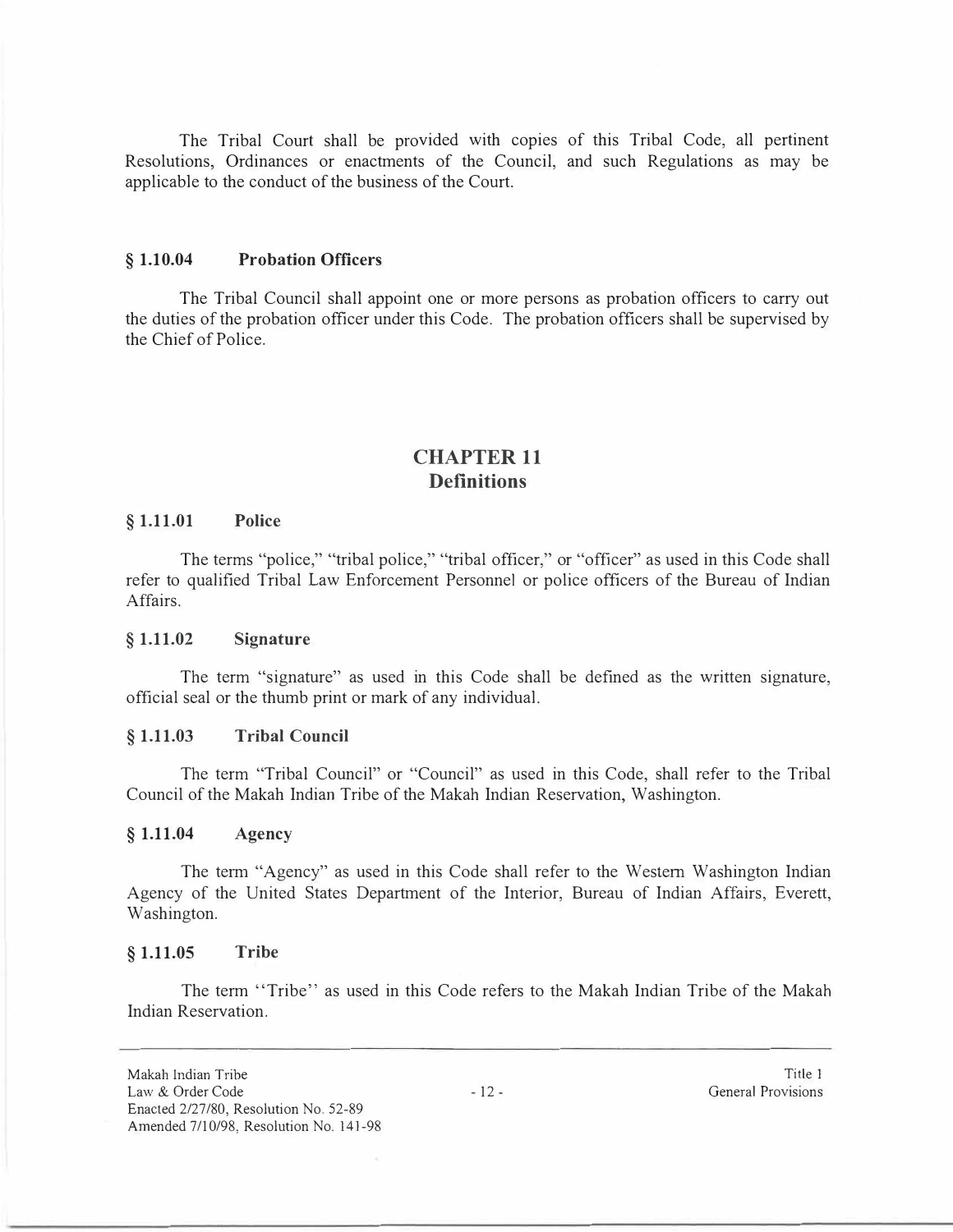The Tribal Court shall be provided with copies of this Tribal Code, all pertinent Resolutions, Ordinances or enactments of the Council, and such Regulations as may be applicable to the conduct of the business of the Court.

#### **§ 1.10.04 Probation Officers**

The Tribal Council shall appoint one or more persons as probation officers to carry out the duties of the probation officer under this Code. The probation officers shall be supervised by the Chief of Police.

# **CHAPTER 11 Definitions**

#### **§ 1.11.01 Police**

The terms "police," "tribal police," "tribal officer," or "officer" as used in this Code shall refer to qualified Tribal Law Enforcement Personnel or police officers of the Bureau of Indian Affairs.

#### **§ 1.11.02 Signature**

The term "signature" as used in this Code shall be defined as the written signature, official seal or the thumb print or mark of any individual.

#### **§ 1.11.03 Tribal Council**

The term "Tribal Council" or "Council" as used in this Code, shall refer to the Tribal Council of the Makah Indian Tribe of the Makah Indian Reservation, Washington.

### **§ 1.11.04 Agency**

The term "Agency" as used in this Code shall refer to the Western Washington Indian Agency of the United States Department of the Interior, Bureau of Indian Affairs, Everett, Washington.

#### **§ 1.11.05 Tribe**

The term "Tribe" as used in this Code refers to the Makah Indian Tribe of the Makab Indian Reservation.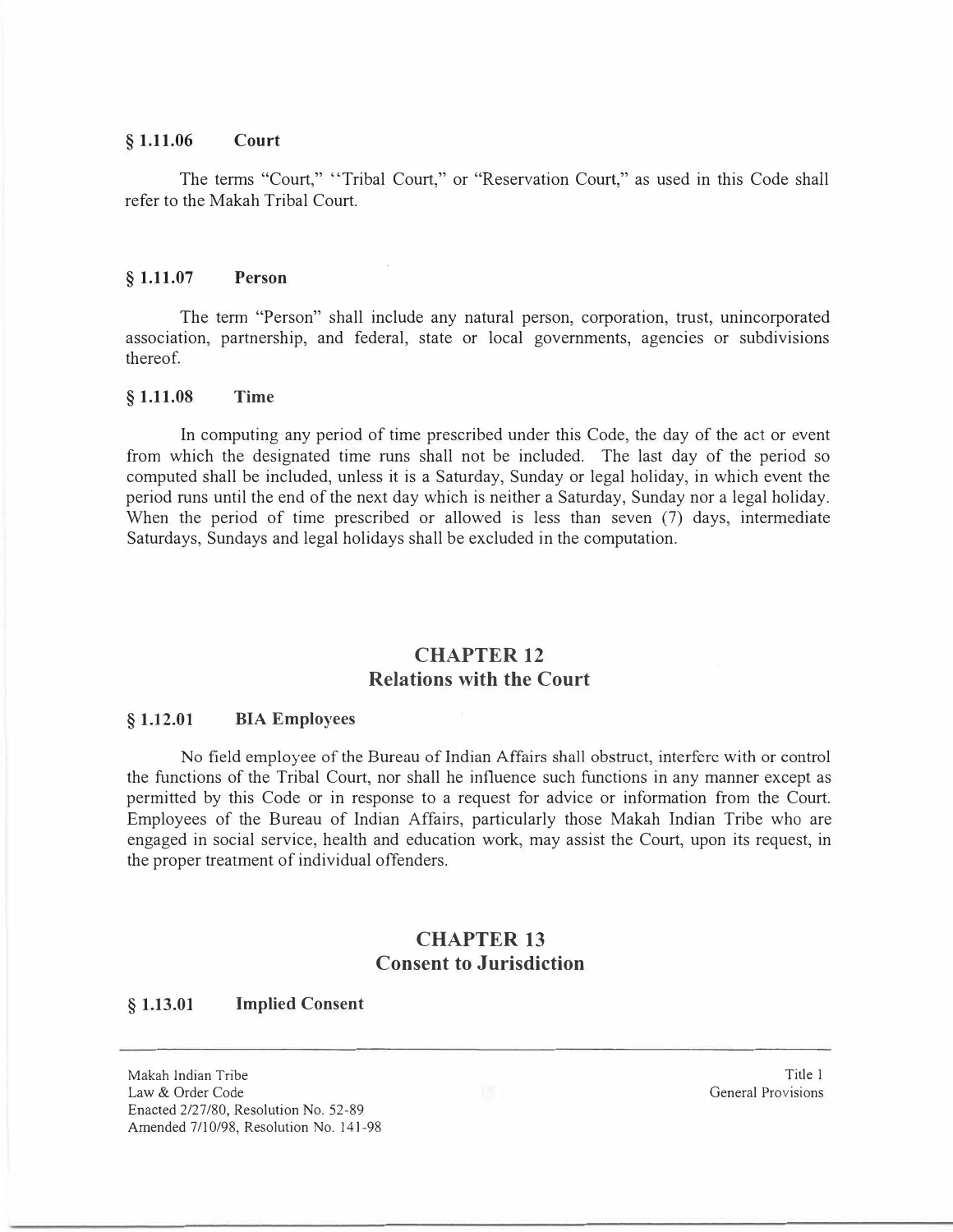#### **§ 1.11.06 Court**

The terms "Court," "Tribal Court," or "Reservation Court," as used in this Code shall refer to the Makah Tribal Court.

#### **§ 1.11.07 Person**

The term "Person" shall include any natural person, corporation, trust, unincorporated association, partnership, and federal, state or local governments, agencies or subdivisions thereof.

#### **§ 1.11.08 Time**

In computing any period of time prescribed under this Code, the day of the act or event from which the designated time runs shall not be included. The last day of the period so computed shall be included, unless it is a Saturday, Sunday or legal holiday, in which event the period runs until the end of the next day which is neither a Saturday, Sunday nor a legal holiday. When the period of time prescribed or allowed is less than seven (7) days, intermediate Saturdays, Sundays and legal holidays shall be excluded in the computation.

## **CHAPTER 12 Relations with the Court**

#### **§ 1.12.01 BIA Employees**

No field employee of the Bureau of Indian Affairs shall obstruct, interfere with or control the functions of the Tribal Court, nor shall he influence such functions in any manner except as permitted by this Code or in response to a request for advice or information from the Court. Employees of the Bureau of Indian Affairs, particularly those Makah Indian Tribe who are engaged in social service, health and education work, may assist the Court, upon its request, in the proper treatment of individual offenders.

# **CHAPTER 13 Consent to Jurisdiction**

#### **§ 1.13.01 Implied Consent**

Makah Indian Tribe Law & Order Code  $13.11$   $13.11$   $13.11$   $13.11$   $13.11$   $13.11$ Enacted 2/27/80, Resolution No. 52-89 Amended 7/10/98, Resolution No. 141-98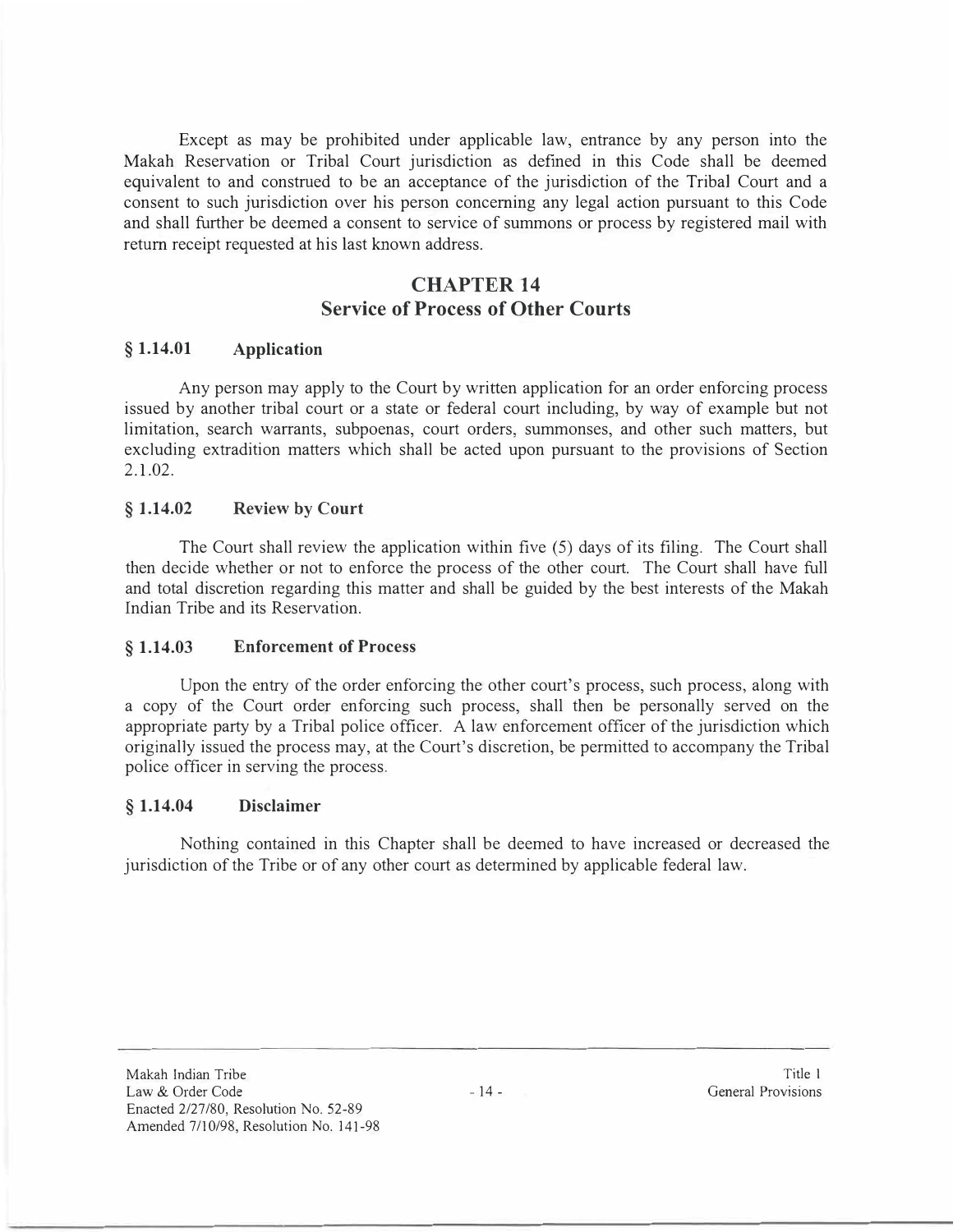Except as may be prohibited under applicable law, entrance by any person into the Makah Reservation or Tribal Court jurisdiction as defined in this Code shall be deemed equivalent to and construed to be an acceptance of the jurisdiction of the Tribal Court and a consent to such jurisdiction over his person concerning any legal action pursuant to this Code and shall further be deemed a consent to service of summons or process by registered mail with return receipt requested at his last known address.

# **CHAPTER 14 Service of Process of Other Courts**

### **§ 1.14.01 Application**

Any person may apply to the Court by written application for an order enforcing process issued by another tribal court or a state or federal court including, by way of example but not limitation, search warrants, subpoenas, court orders, summonses, and other such matters, but excluding extradition matters which shall be acted upon pursuant to the provisions of Section 2.1.02.

## **§ 1.14.02 Review by Court**

The Court shall review the application within five (5) days of its filing. The Court shall then decide whether or not to enforce the process of the other court. The Court shall have full and total discretion regarding this matter and shall be guided by the best interests of the Makah Indian Tribe and its Reservation.

### **§ 1.14.03 Enforcement of Process**

Upon the entry of the order enforcing the other court's process, such process, along with a copy of the Court order enforcing such process, shall then be personally served on the appropriate party by a Tribal police officer. A law enforcement officer of the jurisdiction which originally issued the process may, at the Court's discretion, be permitted to accompany the Tribal police officer in serving the process.

### **§ 1.14.04 Disclaimer**

Nothing contained in this Chapter shall be deemed to have increased or decreased the jurisdiction of the Tribe or of any other court as determined by applicable federal law.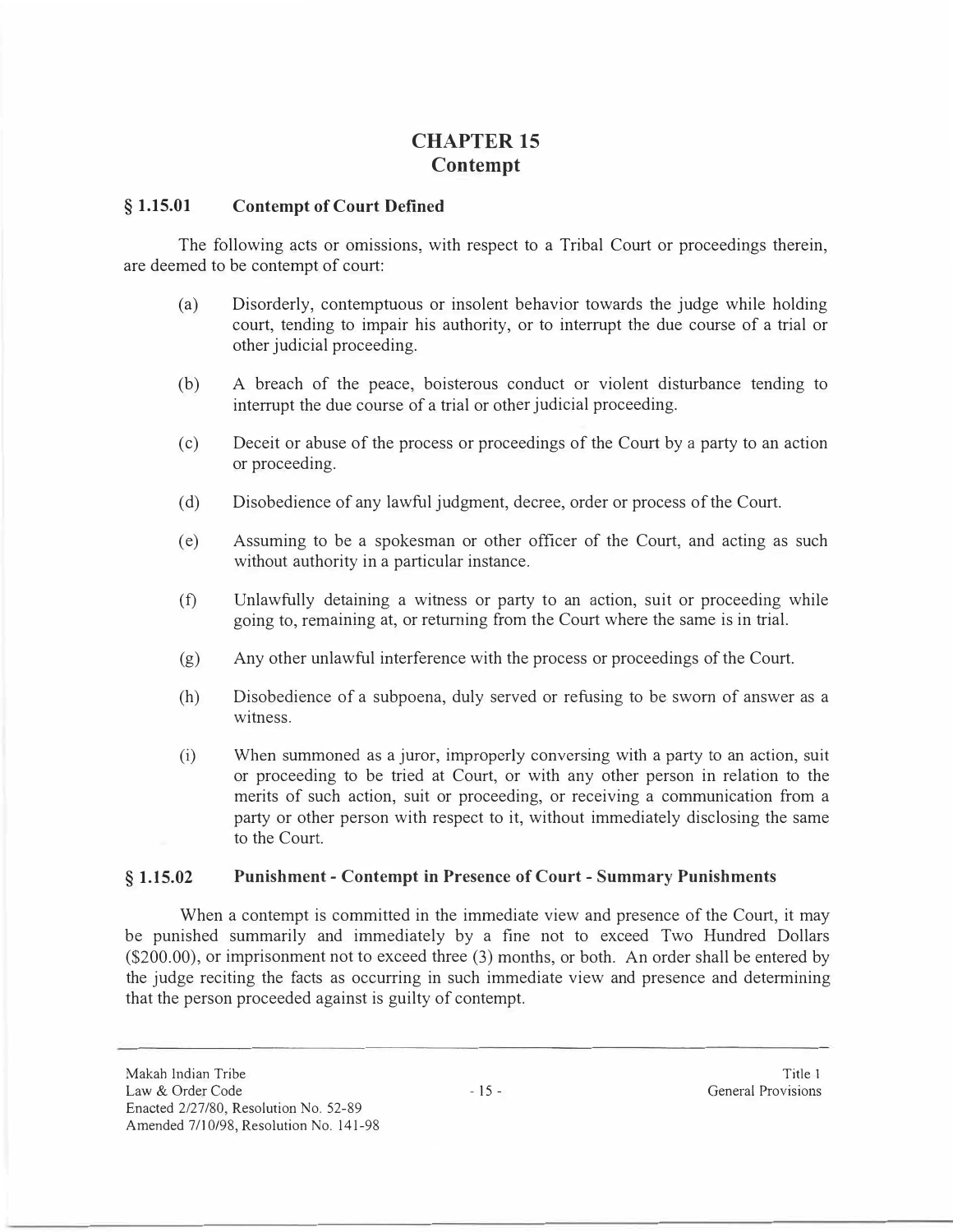# **CHAPTER 15 Contempt**

#### **§ 1.15.01 Contempt of Court Defined**

The following acts or omissions, with respect to a Tribal Court or proceedings therein, are deemed to be contempt of court:

- (a) Disorderly, contemptuous or insolent behavior towards the judge while holding court, tending to impair his authority, or to interrupt the due course of a trial or other judicial proceeding.
- (b) A breach of the peace, boisterous conduct or violent disturbance tending to interrupt the due course of a trial or other judicial proceeding.
- ( c) Deceit or abuse of the process or proceedings of the Court by a party to an action or proceeding.
- ( d) Disobedience of any lawful judgment, decree, order or process of the Court.
- ( e) Assuming to be a spokesman or other officer of the Court, and acting as such without authority in a particular instance.
- (f) Unlawfully detaining a witness or party to an action, suit or proceeding while going to, remaining at, or returning from the Court where the same is in trial.
- (g) Any other unlawful interference with the process or proceedings of the Court.
- (h) Disobedience of a subpoena, duly served or refusing to be sworn of answer as a witness.
- (i) When summoned as a juror, improperly conversing with a party to an action, suit or proceeding to be tried at Court, or with any other person in relation to the merits of such action, suit or proceeding, or receiving a communication from a party or other person with respect to it, without immediately disclosing the same to the Court.

#### **§ 1.15.02 Punishment - Contempt in Presence of Court - Summary Punishments**

When a contempt is committed in the immediate view and presence of the Court, it may be punished summarily and immediately by a fine not to exceed Two Hundred Dollars (\$200.00), or imprisonment not to exceed three (3) months, or both. An order shall be entered by the judge reciting the facts as occurring in such immediate view and presence and determining that the person proceeded against is guilty of contempt.